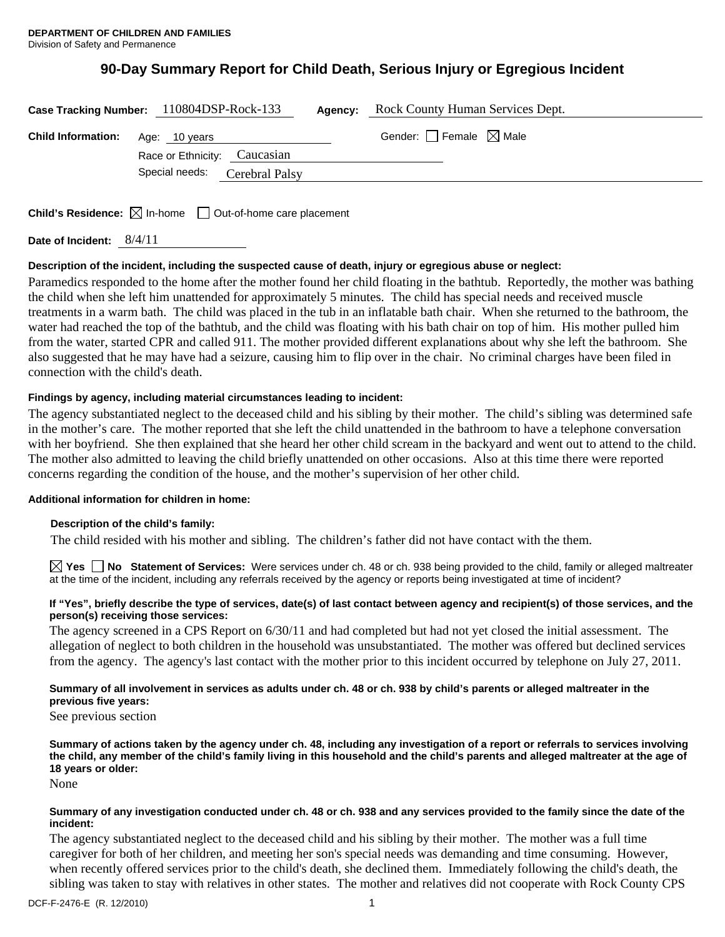# **90-Day Summary Report for Child Death, Serious Injury or Egregious Incident**

| Case Tracking Number: 110804DSP-Rock-133 |                                               |                | Agency: | Rock County Human Services Dept.       |
|------------------------------------------|-----------------------------------------------|----------------|---------|----------------------------------------|
| <b>Child Information:</b>                | Age: 10 years<br>Race or Ethnicity: Caucasian |                |         | Gender: $\Box$ Female $\boxtimes$ Male |
|                                          | Special needs:                                | Cerebral Palsy |         |                                        |
|                                          |                                               |                |         |                                        |

**Child's Residence:**  $\boxtimes$  In-home  $\Box$  Out-of-home care placement

## **Description of the incident, including the suspected cause of death, injury or egregious abuse or neglect:**

Paramedics responded to the home after the mother found her child floating in the bathtub. Reportedly, the mother was bathing the child when she left him unattended for approximately 5 minutes. The child has special needs and received muscle treatments in a warm bath. The child was placed in the tub in an inflatable bath chair. When she returned to the bathroom, the water had reached the top of the bathtub, and the child was floating with his bath chair on top of him. His mother pulled him from the water, started CPR and called 911. The mother provided different explanations about why she left the bathroom. She also suggested that he may have had a seizure, causing him to flip over in the chair. No criminal charges have been filed in connection with the child's death.

## **Findings by agency, including material circumstances leading to incident:**

The agency substantiated neglect to the deceased child and his sibling by their mother. The child's sibling was determined safe in the mother's care. The mother reported that she left the child unattended in the bathroom to have a telephone conversation with her boyfriend. She then explained that she heard her other child scream in the backyard and went out to attend to the child. The mother also admitted to leaving the child briefly unattended on other occasions. Also at this time there were reported concerns regarding the condition of the house, and the mother's supervision of her other child.

## **Additional information for children in home:**

## **Description of the child's family:**

The child resided with his mother and sibling. The children's father did not have contact with the them.

**Yes No Statement of Services:** Were services under ch. 48 or ch. 938 being provided to the child, family or alleged maltreater at the time of the incident, including any referrals received by the agency or reports being investigated at time of incident?

#### **If "Yes", briefly describe the type of services, date(s) of last contact between agency and recipient(s) of those services, and the person(s) receiving those services:**

The agency screened in a CPS Report on 6/30/11 and had completed but had not yet closed the initial assessment. The allegation of neglect to both children in the household was unsubstantiated. The mother was offered but declined services from the agency. The agency's last contact with the mother prior to this incident occurred by telephone on July 27, 2011.

## **Summary of all involvement in services as adults under ch. 48 or ch. 938 by child's parents or alleged maltreater in the previous five years:**

See previous section

**Summary of actions taken by the agency under ch. 48, including any investigation of a report or referrals to services involving the child, any member of the child's family living in this household and the child's parents and alleged maltreater at the age of 18 years or older:** 

None

#### **Summary of any investigation conducted under ch. 48 or ch. 938 and any services provided to the family since the date of the incident:**

The agency substantiated neglect to the deceased child and his sibling by their mother. The mother was a full time caregiver for both of her children, and meeting her son's special needs was demanding and time consuming. However, when recently offered services prior to the child's death, she declined them. Immediately following the child's death, the sibling was taken to stay with relatives in other states. The mother and relatives did not cooperate with Rock County CPS